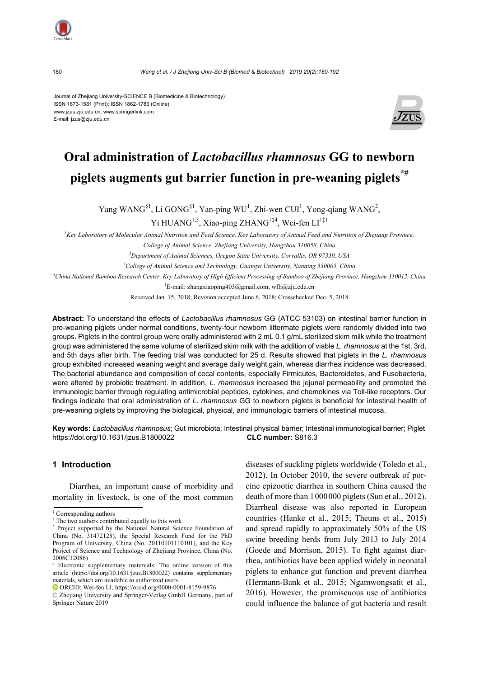180 *Wang et al. / J Zhejiang Univ-Sci B (Biomed & Biotechnol) 2019 20(2):180-192*

Journal of Zhejiang University-SCIENCE B (Biomedicine & Biotechnology) ISSN 1673-1581 (Print); ISSN 1862-1783 (Online) www.jzus.zju.edu.cn; www.springerlink.com E-mail: jzus@zju.edu.cn



# **Oral administration of** *Lactobacillus rhamnosus* **GG to newborn piglets augments gut barrier function in pre-weaning piglets\*#**

Yang WANG<sup>§1</sup>, Li GONG<sup>§1</sup>, Yan-ping WU<sup>1</sup>, Zhi-wen CUI<sup>1</sup>, Yong-qiang WANG<sup>2</sup>,

Yi HUANG<sup>1,3</sup>, Xiao-ping ZHANG<sup>†‡4</sup>, Wei-fen LI<sup>†‡1</sup>

<sup>1</sup> Key Laboratory of Molecular Animal Nutrition and Feed Science, Key Laboratory of Animal Feed and Nutrition of Zhejiang Province,

*College of Animal Science, Zhejiang University, Hangzhou 310058, China* 

*2 Department of Animal Sciences, Oregon State University, Corvallis, OR 97330, USA* 

*3 College of Animal Science and Technology, Guangxi University, Nanning 530005, China* 

*4 China National Bamboo Research Center, Key Laboratory of High Efficient Processing of Bamboo of Zhejiang Province, Hangzhou 310012, China* 

† E-mail: zhangxiaoping403@gmail.com; wfli@zju.edu.cn

Received Jan. 15, 2018; Revision accepted June 6, 2018; Crosschecked Dec. 5, 2018

**Abstract:** To understand the effects of *Lactobacillus rhamnosus* GG (ATCC 53103) on intestinal barrier function in pre-weaning piglets under normal conditions, twenty-four newborn littermate piglets were randomly divided into two groups. Piglets in the control group were orally administered with 2 mL 0.1 g/mL sterilized skim milk while the treatment group was administered the same volume of sterilized skim milk with the addition of viable *L. rhamnosus* at the 1st, 3rd, and 5th days after birth. The feeding trial was conducted for 25 d. Results showed that piglets in the *L. rhamnosus* group exhibited increased weaning weight and average daily weight gain, whereas diarrhea incidence was decreased. The bacterial abundance and composition of cecal contents, especially Firmicutes, Bacteroidetes, and Fusobacteria, were altered by probiotic treatment. In addition, *L. rhamnosus* increased the jejunal permeability and promoted the immunologic barrier through regulating antimicrobial peptides, cytokines, and chemokines via Toll-like receptors. Our findings indicate that oral administration of *L. rhamnosus* GG to newborn piglets is beneficial for intestinal health of pre-weaning piglets by improving the biological, physical, and immunologic barriers of intestinal mucosa.

**Key words:** *Lactobacillus rhamnosus*; Gut microbiota; Intestinal physical barrier; Intestinal immunological barrier; Piglet https://doi.org/10.1631/jzus.B1800022 **CLC number:** S816.3

# **1 Introduction**

Diarrhea, an important cause of morbidity and mortality in livestock, is one of the most common

ORCID: Wei-fen LI, https://orcid.org/0000-0001-8159-9876

diseases of suckling piglets worldwide (Toledo et al., 2012). In October 2010, the severe outbreak of porcine epizootic diarrhea in southern China caused the death of more than 1000000 piglets (Sun et al., 2012). Diarrheal disease was also reported in European countries (Hanke et al., 2015; Theuns et al., 2015) and spread rapidly to approximately 50% of the US swine breeding herds from July 2013 to July 2014 (Goede and Morrison, 2015). To fight against diarrhea, antibiotics have been applied widely in neonatal piglets to enhance gut function and prevent diarrhea (Hermann-Bank et al., 2015; Ngamwongsatit et al., 2016). However, the promiscuous use of antibiotics could influence the balance of gut bacteria and result

<sup>‡</sup> Corresponding authors

<sup>§</sup> The two authors contributed equally to this work

<sup>\*</sup> Project supported by the National Natural Science Foundation of China (No. 31472128), the Special Research Fund for the PhD Program of University, China (No. 20110101110101), and the Key Project of Science and Technology of Zhejiang Province, China (No. 2006C12086)

<sup>#</sup> Electronic supplementary materuals: The online version of this article (https://doi.org/10.1631/jzus.B1800022) contains supplementary materials, which are available to authorized users

<sup>©</sup> Zhejiang University and Springer-Verlag GmbH Germany, part of Springer Nature 2019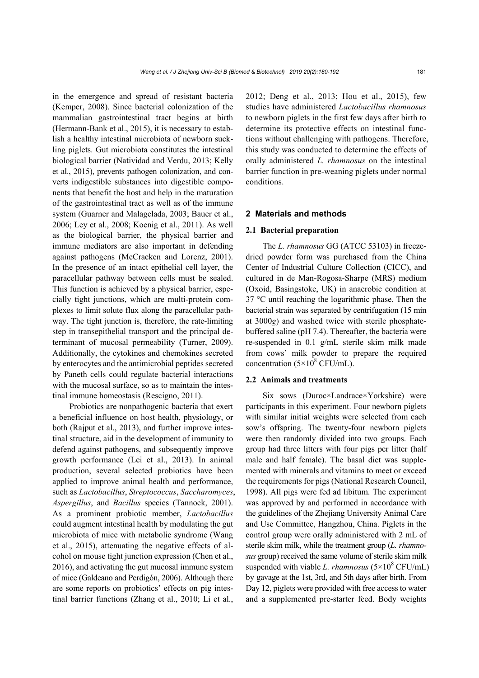in the emergence and spread of resistant bacteria (Kemper, 2008). Since bacterial colonization of the mammalian gastrointestinal tract begins at birth (Hermann-Bank et al., 2015), it is necessary to establish a healthy intestinal microbiota of newborn suckling piglets. Gut microbiota constitutes the intestinal biological barrier (Natividad and Verdu, 2013; Kelly et al., 2015), prevents pathogen colonization, and converts indigestible substances into digestible components that benefit the host and help in the maturation of the gastrointestinal tract as well as of the immune system (Guarner and Malagelada, 2003; Bauer et al., 2006; Ley et al., 2008; Koenig et al., 2011). As well as the biological barrier, the physical barrier and immune mediators are also important in defending against pathogens (McCracken and Lorenz, 2001). In the presence of an intact epithelial cell layer, the paracellular pathway between cells must be sealed. This function is achieved by a physical barrier, especially tight junctions, which are multi-protein complexes to limit solute flux along the paracellular pathway. The tight junction is, therefore, the rate-limiting step in transepithelial transport and the principal determinant of mucosal permeability (Turner, 2009). Additionally, the cytokines and chemokines secreted by enterocytes and the antimicrobial peptides secreted by Paneth cells could regulate bacterial interactions with the mucosal surface, so as to maintain the intestinal immune homeostasis (Rescigno, 2011).

Probiotics are nonpathogenic bacteria that exert a beneficial influence on host health, physiology, or both (Rajput et al., 2013), and further improve intestinal structure, aid in the development of immunity to defend against pathogens, and subsequently improve growth performance (Lei et al., 2013). In animal production, several selected probiotics have been applied to improve animal health and performance, such as *Lactobacillus*, *Streptococcus*, *Saccharomyces*, *Aspergillus*, and *Bacillus* species (Tannock, 2001). As a prominent probiotic member, *Lactobacillus*  could augment intestinal health by modulating the gut microbiota of mice with metabolic syndrome (Wang et al., 2015), attenuating the negative effects of alcohol on mouse tight junction expression (Chen et al., 2016), and activating the gut mucosal immune system of mice (Galdeano and Perdigón, 2006). Although there are some reports on probiotics' effects on pig intestinal barrier functions (Zhang et al., 2010; Li et al.,

2012; Deng et al., 2013; Hou et al., 2015), few studies have administered *Lactobacillus rhamnosus* to newborn piglets in the first few days after birth to determine its protective effects on intestinal functions without challenging with pathogens. Therefore, this study was conducted to determine the effects of orally administered *L. rhamnosus* on the intestinal barrier function in pre-weaning piglets under normal conditions.

#### **2 Materials and methods**

#### **2.1 Bacterial preparation**

The *L. rhamnosus* GG (ATCC 53103) in freezedried powder form was purchased from the China Center of Industrial Culture Collection (CICC), and cultured in de Man-Rogosa-Sharpe (MRS) medium (Oxoid, Basingstoke, UK) in anaerobic condition at 37 °C until reaching the logarithmic phase. Then the bacterial strain was separated by centrifugation (15 min at 3000*g*) and washed twice with sterile phosphatebuffered saline (pH 7.4). Thereafter, the bacteria were re-suspended in 0.1 g/mL sterile skim milk made from cows' milk powder to prepare the required concentration  $(5 \times 10^8 \text{ CFU/mL}).$ 

#### **2.2 Animals and treatments**

Six sows (Duroc×Landrace×Yorkshire) were participants in this experiment. Four newborn piglets with similar initial weights were selected from each sow's offspring. The twenty-four newborn piglets were then randomly divided into two groups. Each group had three litters with four pigs per litter (half male and half female). The basal diet was supplemented with minerals and vitamins to meet or exceed the requirements for pigs (National Research Council, 1998). All pigs were fed ad libitum. The experiment was approved by and performed in accordance with the guidelines of the Zhejiang University Animal Care and Use Committee, Hangzhou, China. Piglets in the control group were orally administered with 2 mL of sterile skim milk, while the treatment group (*L. rhamnosus* group) received the same volume of sterile skim milk suspended with viable *L. rhamnosus*  $(5 \times 10^8 \text{ CFU/mL})$ by gavage at the 1st, 3rd, and 5th days after birth. From Day 12, piglets were provided with free access to water and a supplemented pre-starter feed. Body weights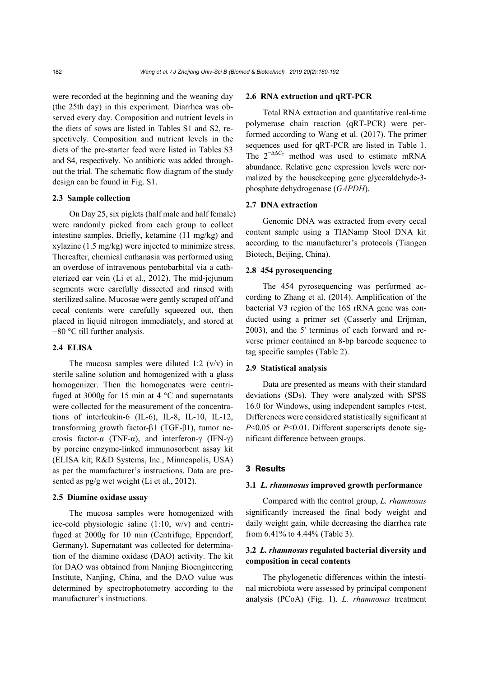were recorded at the beginning and the weaning day (the 25th day) in this experiment. Diarrhea was observed every day. Composition and nutrient levels in the diets of sows are listed in Tables S1 and S2, respectively. Composition and nutrient levels in the diets of the pre-starter feed were listed in Tables S3 and S4, respectively. No antibiotic was added throughout the trial. The schematic flow diagram of the study design can be found in Fig. S1.

#### **2.3 Sample collection**

On Day 25, six piglets (half male and half female) were randomly picked from each group to collect intestine samples. Briefly, ketamine (11 mg/kg) and xylazine (1.5 mg/kg) were injected to minimize stress. Thereafter, chemical euthanasia was performed using an overdose of intravenous pentobarbital via a catheterized ear vein (Li et al., 2012). The mid-jejunum segments were carefully dissected and rinsed with sterilized saline. Mucosae were gently scraped off and cecal contents were carefully squeezed out, then placed in liquid nitrogen immediately, and stored at −80 °C till further analysis.

# **2.4 ELISA**

The mucosa samples were diluted 1:2  $(v/v)$  in sterile saline solution and homogenized with a glass homogenizer. Then the homogenates were centrifuged at 3000*g* for 15 min at 4 °C and supernatants were collected for the measurement of the concentrations of interleukin-6 (IL-6), IL-8, IL-10, IL-12, transforming growth factor-β1 (TGF-β1), tumor necrosis factor-α (TNF-α), and interferon-γ (IFN-γ) by porcine enzyme-linked immunosorbent assay kit (ELISA kit; R&D Systems, Inc., Minneapolis, USA) as per the manufacturer's instructions. Data are presented as pg/g wet weight (Li et al., 2012).

#### **2.5 Diamine oxidase assay**

The mucosa samples were homogenized with ice-cold physiologic saline (1:10, w/v) and centrifuged at 2000*g* for 10 min (Centrifuge, Eppendorf, Germany). Supernatant was collected for determination of the diamine oxidase (DAO) activity. The kit for DAO was obtained from Nanjing Bioengineering Institute, Nanjing, China, and the DAO value was determined by spectrophotometry according to the manufacturer's instructions.

#### **2.6 RNA extraction and qRT-PCR**

Total RNA extraction and quantitative real-time polymerase chain reaction (qRT-PCR) were performed according to Wang et al. (2017). The primer sequences used for qRT-PCR are listed in Table 1. The  $2^{-\Delta\Delta C_T}$  method was used to estimate mRNA abundance. Relative gene expression levels were normalized by the housekeeping gene glyceraldehyde-3 phosphate dehydrogenase (*GAPDH*).

#### **2.7 DNA extraction**

Genomic DNA was extracted from every cecal content sample using a TIANamp Stool DNA kit according to the manufacturer's protocols (Tiangen Biotech, Beijing, China).

### **2.8 454 pyrosequencing**

The 454 pyrosequencing was performed according to Zhang et al. (2014). Amplification of the bacterial V3 region of the 16S rRNA gene was conducted using a primer set (Casserly and Erijman, 2003), and the 5' terminus of each forward and reverse primer contained an 8-bp barcode sequence to tag specific samples (Table 2).

#### **2.9 Statistical analysis**

Data are presented as means with their standard deviations (SDs). They were analyzed with SPSS 16.0 for Windows, using independent samples *t*-test. Differences were considered statistically significant at *P*<0.05 or *P*<0.01. Different superscripts denote significant difference between groups.

#### **3 Results**

#### **3.1** *L. rhamnosus* **improved growth performance**

Compared with the control group, *L. rhamnosus* significantly increased the final body weight and daily weight gain, while decreasing the diarrhea rate from 6.41% to 4.44% (Table 3).

# **3.2** *L. rhamnosus* **regulated bacterial diversity and composition in cecal contents**

The phylogenetic differences within the intestinal microbiota were assessed by principal component analysis (PCoA) (Fig. 1). *L. rhamnosus* treatment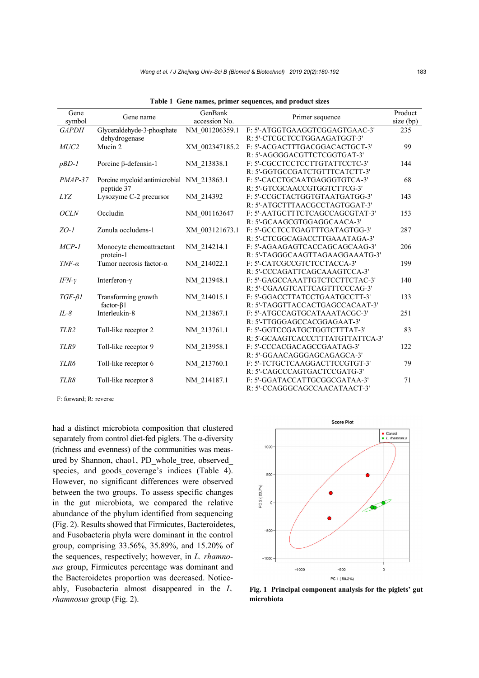| Gene<br>symbol   | Gene name                                 | GenBank<br>accession No. | Primer sequence                   | Product<br>size (bp) |
|------------------|-------------------------------------------|--------------------------|-----------------------------------|----------------------|
| <b>GAPDH</b>     | Glyceraldehyde-3-phosphate                | NM 001206359.1           | F: 5'-ATGGTGAAGGTCGGAGTGAAC-3'    | 235                  |
|                  | dehydrogenase                             |                          | R: 5'-CTCGCTCCTGGAAGATGGT-3'      |                      |
| $MUC2$           | Mucin 2                                   | XM 002347185.2           | F: 5'-ACGACTTTGACGGACACTGCT-3'    | 99                   |
|                  |                                           |                          | R: 5'-AGGGGACGTTCTCGGTGAT-3'      |                      |
| $pBD-1$          | Porcine $\beta$ -defensin-1               | NM_213838.1              | F: 5'-CGCCTCCTCCTTGTATTCCTC-3'    | 144                  |
|                  |                                           |                          | R: 5'-GGTGCCGATCTGTTTCATCTT-3'    |                      |
| $PMAP-37$        | Porcine myeloid antimicrobial NM 213863.1 |                          | F: 5'-CACCTGCAATGAGGGTGTCA-3'     | 68                   |
|                  | peptide 37                                |                          | R: 5'-GTCGCAACCGTGGTCTTCG-3'      |                      |
| <i>LYZ</i>       | Lysozyme C-2 precursor                    | NM 214392                | F: 5'-CCGCTACTGGTGTAATGATGG-3'    | 143                  |
|                  |                                           |                          | R: 5'-ATGCTTTAACGCCTAGTGGAT-3'    |                      |
| <b>OCLN</b>      | Occludin                                  | NM 001163647             | F: 5'-AATGCTTTCTCAGCCAGCGTAT-3'   | 153                  |
|                  |                                           |                          | R: 5'-GCAAGCGTGGAGGCAACA-3'       |                      |
| $ZO-I$           | Zonula occludens-1                        | XM 003121673.1           | F: 5'-GCCTCCTGAGTTTGATAGTGG-3'    | 287                  |
|                  |                                           |                          | R: 5'-CTCGGCAGACCTTGAAATAGA-3'    |                      |
| $MCP-1$          | Monocyte chemoattractant                  | NM 214214.1              | F: 5'-AGAAGAGTCACCAGCAGCAAG-3'    | 206                  |
|                  | protein-1                                 |                          | R: 5'-TAGGGCAAGTTAGAAGGAAATG-3'   |                      |
| $TNF-\alpha$     | Tumor necrosis factor- $\alpha$           | NM 214022.1              | F: 5'-CATCGCCGTCTCCTACCA-3'       | 199                  |
|                  |                                           |                          | R: 5'-CCCAGATTCAGCAAAGTCCA-3'     |                      |
| $IFN-\gamma$     | Interferon-γ                              | NM 213948.1              | F: 5'-GAGCCAAATTGTCTCCTTCTAC-3'   | 140                  |
|                  |                                           |                          | R: 5'-CGAAGTCATTCAGTTTCCCAG-3'    |                      |
| $TGF-\beta1$     | Transforming growth                       | NM 214015.1              | F: 5'-GGACCTTATCCTGAATGCCTT-3'    | 133                  |
|                  | factor- $\beta$ 1                         |                          | R: 5'-TAGGTTACCACTGAGCCACAAT-3'   |                      |
| $IL-8$           | Interleukin-8                             | NM 213867.1              | F: 5'-ATGCCAGTGCATAAATACGC-3'     | 251                  |
|                  |                                           |                          | R: 5'-TTGGGAGCCACGGAGAAT-3'       |                      |
| TLR <sub>2</sub> | Toll-like receptor 2                      | NM 213761.1              | F: 5'-GGTCCGATGCTGGTCTTTAT-3'     | 83                   |
|                  |                                           |                          | R: 5'-GCAAGTCACCCTTTATGTTATTCA-3' |                      |
| TLR9             | Toll-like receptor 9                      | NM 213958.1              | F: 5'-CCCACGACAGCCGAATAG-3'       | 122                  |
|                  |                                           |                          | R: 5'-GGAACAGGGAGCAGAGCA-3'       |                      |
| TLR6             | Toll-like receptor 6                      | NM 213760.1              | F: 5'-TCTGCTCAAGGACTTCCGTGT-3'    | 79                   |
|                  |                                           |                          | R: 5'-CAGCCCAGTGACTCCGATG-3'      |                      |
| TLR8             | Toll-like receptor 8                      | NM 214187.1              | F: 5'-GGATACCATTGCGGCGATAA-3'     | 71                   |
|                  |                                           |                          | R: 5'-CCAGGGCAGCCAACATAACT-3'     |                      |

**Table 1 Gene names, primer sequences, and product sizes** 

F: forward; R: reverse

had a distinct microbiota composition that clustered separately from control diet-fed piglets. The  $\alpha$ -diversity (richness and evenness) of the communities was measured by Shannon, chao1, PD\_whole\_tree, observed\_ species, and goods coverage's indices (Table 4). However, no significant differences were observed between the two groups. To assess specific changes in the gut microbiota, we compared the relative abundance of the phylum identified from sequencing (Fig. 2). Results showed that Firmicutes, Bacteroidetes, and Fusobacteria phyla were dominant in the control group, comprising 33.56%, 35.89%, and 15.20% of the sequences, respectively; however, in *L. rhamnosus* group, Firmicutes percentage was dominant and the Bacteroidetes proportion was decreased. Noticeably, Fusobacteria almost disappeared in the *L. rhamnosus* group (Fig. 2).



**Fig. 1 Principal component analysis for the piglets' gut microbiota**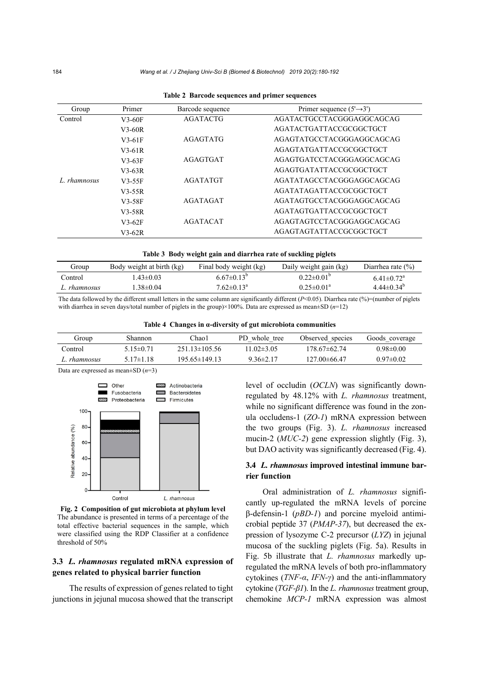| Group               | Primer   | Barcode sequence | Primer sequence $(5' \rightarrow 3')$ |
|---------------------|----------|------------------|---------------------------------------|
| Control             | $V3-60F$ | <b>AGATACTG</b>  | AGATACTGCCTACGGGAGGCAGCAG             |
|                     | $V3-60R$ |                  | AGATACTGATTACCGCGGCTGCT               |
|                     | $V3-61F$ | AGAGTATG         | AGAGTATGCCTACGGGAGGCAGCAG             |
|                     | $V3-61R$ |                  | AGAGTATGATTACCGCGGCTGCT               |
|                     | $V3-63F$ | <b>AGAGTGAT</b>  | AGAGTGATCCTACGGGAGGCAGCAG             |
|                     | $V3-63R$ |                  | AGAGTGATATTACCGCGGCTGCT               |
| <i>I. rhamnosus</i> | $V3-55F$ | <b>AGATATGT</b>  | AGATATAGCCTACGGGAGGCAGCAG             |
|                     | $V3-55R$ |                  | AGATATAGATTACCGCGGCTGCT               |
|                     | $V3-58F$ | <b>AGATAGAT</b>  | AGATAGTGCCTACGGGAGGCAGCAG             |
|                     | V3-58R   |                  | AGATAGTGATTACCGCGGCTGCT               |
|                     | $V3-62F$ | <b>AGATACAT</b>  | AGAGTAGTCCTACGGGAGGCAGCAG             |
|                     | $V3-62R$ |                  | AGAGTAGTATTACCGCGGCTGCT               |

| Table 2 Barcode sequences and primer sequences |  |  |
|------------------------------------------------|--|--|
|                                                |  |  |

| Table 3 Body weight gain and diarrhea rate of suckling piglets |  |
|----------------------------------------------------------------|--|
|----------------------------------------------------------------|--|

| Group        | Body weight at birth (kg) | Final body weight (kg)     | Daily weight gain (kg)  | Diarrhea rate $(\% )$        |
|--------------|---------------------------|----------------------------|-------------------------|------------------------------|
| Control      | $+43\pm0.03$              | $6.67 \pm 0.13^{\circ}$    | $0.22 \pm 0.01^{\circ}$ | $6.41 \pm 0.72$ <sup>a</sup> |
| L. rhamnosus | $1.38 \pm 0.04$           | $7.62 \pm 0.13^{\text{a}}$ | $0.25 \pm 0.01^{\circ}$ | $4.44\pm0.34^{b}$            |

The data followed by the different small letters in the same column are significantly different  $(P< 0.05)$ . Diarrhea rate  $(\frac{9}{2})$ =(number of piglets with diarrhea in seven days/total number of piglets in the group)×100%. Data are expressed as mean±SD (*n*=12)

**Table 4 Changes in α-diversity of gut microbiota communities** 

| Group              | Shannon         | ∑hao1               | PD whole tree    | Observed species  | Goods coverage  |
|--------------------|-----------------|---------------------|------------------|-------------------|-----------------|
| Control            | $5.15 \pm 0.71$ | $25113\pm10556$     | $11.02 \pm 3.05$ | 178.67±62.74      | $0.98 \pm 0.00$ |
| <i>i</i> rhamnosus | $5.17\pm1.18$   | $195.65 \pm 149.13$ | $9.36 \pm 2.17$  | $127.00\pm 66.47$ | $0.97\pm 0.02$  |

Data are expressed as mean±SD (*n*=3)



**Fig. 2 Composition of gut microbiota at phylum level**  The abundance is presented in terms of a percentage of the total effective bacterial sequences in the sample, which were classified using the RDP Classifier at a confidence threshold of 50%

# **3.3** *L. rhamnosus* **regulated mRNA expression of genes related to physical barrier function**

The results of expression of genes related to tight junctions in jejunal mucosa showed that the transcript level of occludin (*OCLN*) was significantly downregulated by 48.12% with *L. rhamnosus* treatment, while no significant difference was found in the zonula occludens-1 (*ZO-1*) mRNA expression between the two groups (Fig. 3). *L. rhamnosus* increased mucin-2 (*MUC-2*) gene expression slightly (Fig. 3), but DAO activity was significantly decreased (Fig. 4).

# **3.4** *L. rhamnosus* **improved intestinal immune barrier function**

Oral administration of *L. rhamnosus* significantly up-regulated the mRNA levels of porcine β-defensin-1 (*pBD-1*) and porcine myeloid antimicrobial peptide 37 (*PMAP-37*), but decreased the expression of lysozyme C-2 precursor (*LYZ*) in jejunal mucosa of the suckling piglets (Fig. 5a). Results in Fig. 5b illustrate that *L. rhamnosus* markedly upregulated the mRNA levels of both pro-inflammatory cytokines (*TNF-α*, *IFN-γ*) and the anti-inflammatory cytokine (*TGF-β1*). In the *L. rhamnosus* treatment group, chemokine *MCP-1* mRNA expression was almost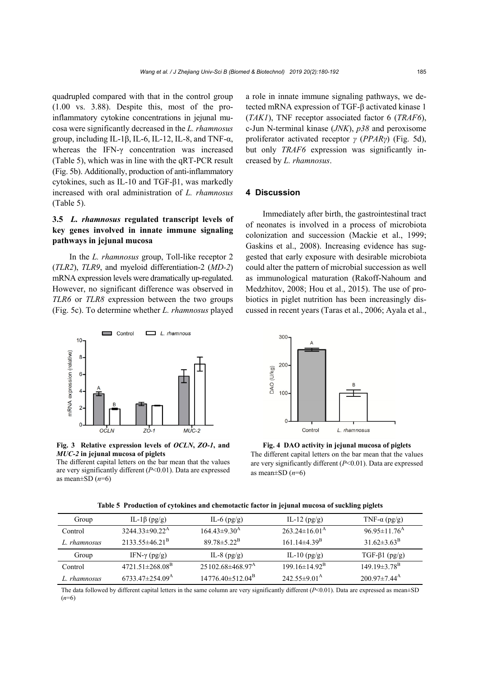quadrupled compared with that in the control group (1.00 vs. 3.88). Despite this, most of the proinflammatory cytokine concentrations in jejunal mucosa were significantly decreased in the *L. rhamnosus*  group, including IL-1β, IL-6, IL-12, IL-8, and TNF-α, whereas the IFN-γ concentration was increased (Table 5), which was in line with the qRT-PCR result (Fig. 5b). Additionally, production of anti-inflammatory cytokines, such as IL-10 and TGF-β1, was markedly increased with oral administration of *L. rhamnosus* (Table 5).

# **3.5** *L. rhamnosus* **regulated transcript levels of key genes involved in innate immune signaling pathways in jejunal mucosa**

In the *L. rhamnosus* group, Toll-like receptor 2 (*TLR2*), *TLR9*, and myeloid differentiation-2 (*MD-2*) mRNA expression levels were dramatically up-regulated. However, no significant difference was observed in *TLR6* or *TLR8* expression between the two groups (Fig. 5c). To determine whether *L. rhamnosus* played





The different capital letters on the bar mean that the values are very significantly different (*P*<0.01). Data are expressed as mean $\pm$ SD ( $n$ =6)

a role in innate immune signaling pathways, we detected mRNA expression of TGF-β activated kinase 1 (*TAK1*), TNF receptor associated factor 6 (*TRAF6*), c-Jun N-terminal kinase (*JNK*), *p38* and peroxisome proliferator activated receptor *γ* (*PPARγ*) (Fig. 5d), but only *TRAF6* expression was significantly increased by *L. rhamnosus*.

# **4 Discussion**

Immediately after birth, the gastrointestinal tract of neonates is involved in a process of microbiota colonization and succession (Mackie et al., 1999; Gaskins et al., 2008). Increasing evidence has suggested that early exposure with desirable microbiota could alter the pattern of microbial succession as well as immunological maturation (Rakoff-Nahoum and Medzhitov, 2008; Hou et al., 2015). The use of probiotics in piglet nutrition has been increasingly discussed in recent years (Taras et al., 2006; Ayala et al.,



**Fig. 4 DAO activity in jejunal mucosa of piglets**  The different capital letters on the bar mean that the values are very significantly different (*P*<0.01). Data are expressed as mean $\pm$ SD ( $n$ =6)

| Group        | IL-1 $\beta$ (pg/g)               | IL-6 $(pg/g)$                    | IL-12 $(pg/g)$                 | TNF- $\alpha$ (pg/g)           |
|--------------|-----------------------------------|----------------------------------|--------------------------------|--------------------------------|
| Control      | $3244.33 \pm 90.22^{\text{A}}$    | $164.43\pm9.30^{\rm A}$          | $263.24\pm16.01^{\rm A}$       | $96.95 \pm 11.76$ <sup>A</sup> |
| L. rhamnosus | $2133.55\pm46.21^{\mathrm{B}}$    | 89 78 $\pm$ 5 22 <sup>B</sup>    | 161.14 $\pm$ 4.39 <sup>B</sup> | $31.62\pm3.63^{\rm B}$         |
| Group        | IFN- $\gamma$ (pg/g)              | IL-8 $(pg/g)$                    | IL-10 $(pg/g)$                 | $TGF-\beta1 (pg/g)$            |
| Control      | $4721.51 \pm 268.08^{\mathrm{B}}$ | $25102.68\pm468.97^{\rm A}$      | $199.16\pm14.92^{\rm B}$       | $149.19 \pm 3.78$ <sup>B</sup> |
| L. rhamnosus | $6733.47\pm254.09^{\mathrm{A}}$   | $14776.40\pm512.04^{\mathrm{B}}$ | $242.55\pm9.01^{\mathrm{A}}$   | $20097 \pm 744$ <sup>A</sup>   |

**Table 5 Production of cytokines and chemotactic factor in jejunal mucosa of suckling piglets** 

The data followed by different capital letters in the same column are very significantly different  $(P< 0.01)$ . Data are expressed as mean $\pm SD$ (*n*=6)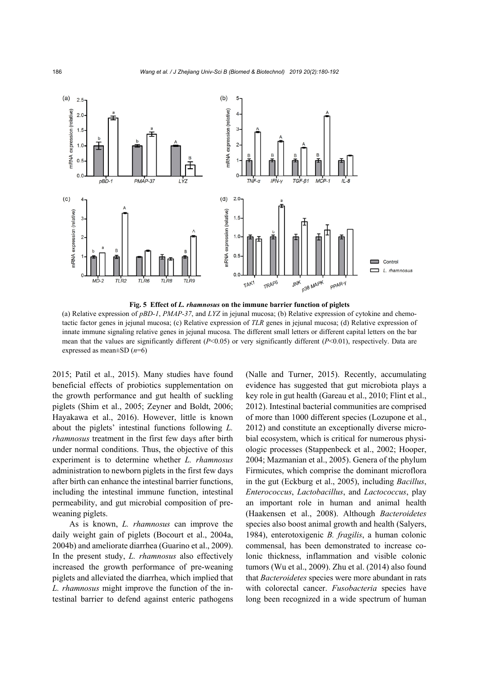

**Fig. 5 Effect of** *L. rhamnosus* **on the immune barrier function of piglets** 

(a) Relative expression of *pBD-1*, *PMAP-37*, and *LYZ* in jejunal mucosa; (b) Relative expression of cytokine and chemotactic factor genes in jejunal mucosa; (c) Relative expression of *TLR* genes in jejunal mucosa; (d) Relative expression of innate immune signaling relative genes in jejunal mucosa. The different small letters or different capital letters on the bar mean that the values are significantly different (*P*<0.05) or very significantly different (*P*<0.01), respectively. Data are expressed as mean±SD (*n*=6)

2015; Patil et al., 2015). Many studies have found beneficial effects of probiotics supplementation on the growth performance and gut health of suckling piglets (Shim et al., 2005; Zeyner and Boldt, 2006; Hayakawa et al., 2016). However, little is known about the piglets' intestinal functions following *L. rhamnosus* treatment in the first few days after birth under normal conditions. Thus, the objective of this experiment is to determine whether *L. rhamnosus* administration to newborn piglets in the first few days after birth can enhance the intestinal barrier functions, including the intestinal immune function, intestinal permeability, and gut microbial composition of preweaning piglets.

As is known, *L. rhamnosus* can improve the daily weight gain of piglets (Bocourt et al., 2004a, 2004b) and ameliorate diarrhea (Guarino et al., 2009). In the present study, *L. rhamnosus* also effectively increased the growth performance of pre-weaning piglets and alleviated the diarrhea, which implied that *L. rhamnosus* might improve the function of the intestinal barrier to defend against enteric pathogens

(Nalle and Turner, 2015). Recently, accumulating evidence has suggested that gut microbiota plays a key role in gut health (Gareau et al., 2010; Flint et al., 2012). Intestinal bacterial communities are comprised of more than 1000 different species (Lozupone et al., 2012) and constitute an exceptionally diverse microbial ecosystem, which is critical for numerous physiologic processes (Stappenbeck et al., 2002; Hooper, 2004; Mazmanian et al., 2005). Genera of the phylum Firmicutes, which comprise the dominant microflora in the gut (Eckburg et al., 2005), including *Bacillus*, *Enterococcus*, *Lactobacillus*, and *Lactococcus*, play an important role in human and animal health (Haakensen et al., 2008). Although *Bacteroidetes* species also boost animal growth and health (Salyers, 1984), enterotoxigenic *B. fragilis*, a human colonic commensal, has been demonstrated to increase colonic thickness, inflammation and visible colonic tumors (Wu et al., 2009). Zhu et al. (2014) also found that *Bacteroidetes* species were more abundant in rats with colorectal cancer. *Fusobacteria* species have long been recognized in a wide spectrum of human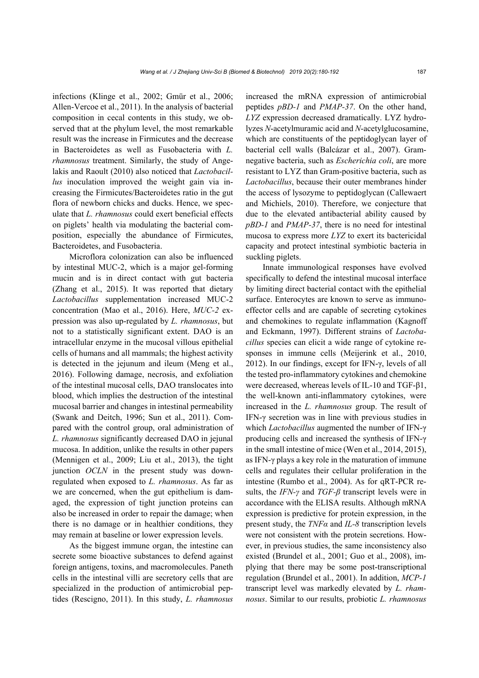infections (Klinge et al., 2002; Gmür et al., 2006; Allen-Vercoe et al., 2011). In the analysis of bacterial composition in cecal contents in this study, we observed that at the phylum level, the most remarkable result was the increase in Firmicutes and the decrease in Bacteroidetes as well as Fusobacteria with *L. rhamnosus* treatment. Similarly, the study of Angelakis and Raoult (2010) also noticed that *Lactobacillus* inoculation improved the weight gain via increasing the Firmicutes/Bacteroidetes ratio in the gut flora of newborn chicks and ducks. Hence, we speculate that *L. rhamnosus* could exert beneficial effects on piglets' health via modulating the bacterial composition, especially the abundance of Firmicutes, Bacteroidetes, and Fusobacteria.

Microflora colonization can also be influenced by intestinal MUC-2, which is a major gel-forming mucin and is in direct contact with gut bacteria (Zhang et al., 2015). It was reported that dietary *Lactobacillus* supplementation increased MUC-2 concentration (Mao et al., 2016). Here, *MUC-2* expression was also up-regulated by *L. rhamnosus*, but not to a statistically significant extent. DAO is an intracellular enzyme in the mucosal villous epithelial cells of humans and all mammals; the highest activity is detected in the jejunum and ileum (Meng et al., 2016). Following damage, necrosis, and exfoliation of the intestinal mucosal cells, DAO translocates into blood, which implies the destruction of the intestinal mucosal barrier and changes in intestinal permeability (Swank and Deitch, 1996; Sun et al., 2011). Compared with the control group, oral administration of *L. rhamnosus* significantly decreased DAO in jejunal mucosa. In addition, unlike the results in other papers (Mennigen et al., 2009; Liu et al., 2013), the tight junction *OCLN* in the present study was downregulated when exposed to *L. rhamnosus*. As far as we are concerned, when the gut epithelium is damaged, the expression of tight junction proteins can also be increased in order to repair the damage; when there is no damage or in healthier conditions, they may remain at baseline or lower expression levels.

As the biggest immune organ, the intestine can secrete some bioactive substances to defend against foreign antigens, toxins, and macromolecules. Paneth cells in the intestinal villi are secretory cells that are specialized in the production of antimicrobial peptides (Rescigno, 2011). In this study, *L. rhamnosus*

increased the mRNA expression of antimicrobial peptides *pBD-1* and *PMAP-37*. On the other hand, *LYZ* expression decreased dramatically. LYZ hydrolyzes *N*-acetylmuramic acid and *N*-acetylglucosamine, which are constituents of the peptidoglycan layer of bacterial cell walls (Balcázar et al., 2007). Gramnegative bacteria, such as *Escherichia coli*, are more resistant to LYZ than Gram-positive bacteria, such as *Lactobacillus*, because their outer membranes hinder the access of lysozyme to peptidoglycan (Callewaert and Michiels, 2010). Therefore, we conjecture that due to the elevated antibacterial ability caused by *pBD-1* and *PMAP-37*, there is no need for intestinal mucosa to express more *LYZ* to exert its bactericidal capacity and protect intestinal symbiotic bacteria in suckling piglets.

Innate immunological responses have evolved specifically to defend the intestinal mucosal interface by limiting direct bacterial contact with the epithelial surface. Enterocytes are known to serve as immunoeffector cells and are capable of secreting cytokines and chemokines to regulate inflammation (Kagnoff and Eckmann, 1997). Different strains of *Lactobacillus* species can elicit a wide range of cytokine responses in immune cells (Meijerink et al., 2010, 2012). In our findings, except for IFN-γ, levels of all the tested pro-inflammatory cytokines and chemokine were decreased, whereas levels of IL-10 and TGF-β1, the well-known anti-inflammatory cytokines, were increased in the *L. rhamnosus* group. The result of IFN-γ secretion was in line with previous studies in which *Lactobacillus* augmented the number of IFN-γ producing cells and increased the synthesis of IFN-γ in the small intestine of mice (Wen et al., 2014, 2015), as IFN-γ plays a key role in the maturation of immune cells and regulates their cellular proliferation in the intestine (Rumbo et al., 2004). As for qRT-PCR results, the *IFN-γ* and *TGF-β* transcript levels were in accordance with the ELISA results. Although mRNA expression is predictive for protein expression, in the present study, the *TNFα* and *IL-8* transcription levels were not consistent with the protein secretions. However, in previous studies, the same inconsistency also existed (Brundel et al., 2001; Guo et al., 2008), implying that there may be some post-transcriptional regulation (Brundel et al., 2001). In addition, *MCP-1* transcript level was markedly elevated by *L. rhamnosus*. Similar to our results, probiotic *L. rhamnosus*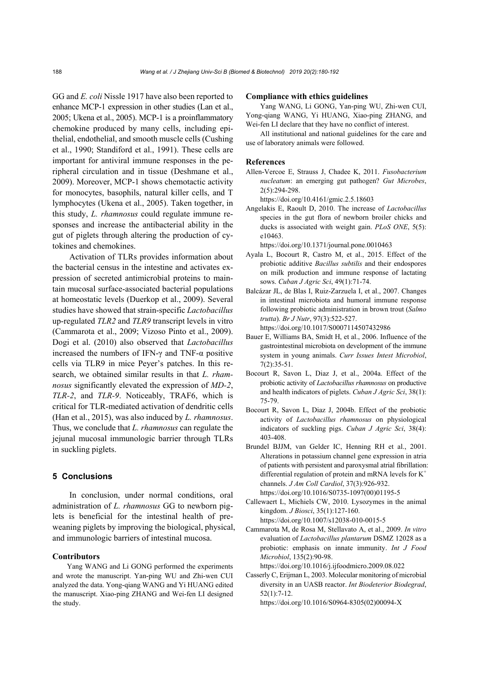GG and *E. coli* Nissle 1917 have also been reported to enhance MCP-1 expression in other studies (Lan et al., 2005; Ukena et al., 2005). MCP-1 is a proinflammatory chemokine produced by many cells, including epithelial, endothelial, and smooth muscle cells (Cushing et al., 1990; Standiford et al., 1991). These cells are important for antiviral immune responses in the peripheral circulation and in tissue (Deshmane et al., 2009). Moreover, MCP-1 shows chemotactic activity for monocytes, basophils, natural killer cells, and T lymphocytes (Ukena et al., 2005). Taken together, in this study, *L. rhamnosus* could regulate immune responses and increase the antibacterial ability in the gut of piglets through altering the production of cytokines and chemokines.

Activation of TLRs provides information about the bacterial census in the intestine and activates expression of secreted antimicrobial proteins to maintain mucosal surface-associated bacterial populations at homeostatic levels (Duerkop et al., 2009). Several studies have showed that strain-specific *Lactobacillus*  up-regulated *TLR2* and *TLR9* transcript levels in vitro (Cammarota et al., 2009; Vizoso Pinto et al., 2009). Dogi et al. (2010) also observed that *Lactobacillus*  increased the numbers of IFN-γ and TNF-α positive cells via TLR9 in mice Peyer's patches. In this research, we obtained similar results in that *L. rhamnosus* significantly elevated the expression of *MD-2*, *TLR-2*, and *TLR-9*. Noticeably, TRAF6, which is critical for TLR-mediated activation of dendritic cells (Han et al., 2015), was also induced by *L. rhamnosus*. Thus, we conclude that *L. rhamnosus* can regulate the jejunal mucosal immunologic barrier through TLRs in suckling piglets.

#### **5 Conclusions**

In conclusion, under normal conditions, oral administration of *L. rhamnosus* GG to newborn piglets is beneficial for the intestinal health of preweaning piglets by improving the biological, physical, and immunologic barriers of intestinal mucosa.

#### **Contributors**

Yang WANG and Li GONG performed the experiments and wrote the manuscript. Yan-ping WU and Zhi-wen CUI analyzed the data. Yong-qiang WANG and Yi HUANG edited the manuscript. Xiao-ping ZHANG and Wei-fen LI designed the study.

#### **Compliance with ethics guidelines**

Yang WANG, Li GONG, Yan-ping WU, Zhi-wen CUI, Yong-qiang WANG, Yi HUANG, Xiao-ping ZHANG, and Wei-fen LI declare that they have no conflict of interest.

All institutional and national guidelines for the care and use of laboratory animals were followed.

#### **References**

Allen-Vercoe E, Strauss J, Chadee K, 2011. *Fusobacterium nucleatum*: an emerging gut pathogen? *Gut Microbes*, 2(5):294-298.

https://doi.org/10.4161/gmic.2.5.18603

Angelakis E, Raoult D, 2010. The increase of *Lactobacillus* species in the gut flora of newborn broiler chicks and ducks is associated with weight gain. *PLoS ONE*, 5(5): e10463.

https://doi.org/10.1371/journal.pone.0010463

- Ayala L, Bocourt R, Castro M, et al., 2015. Effect of the probiotic additive *Bacillus subtilis* and their endospores on milk production and immune response of lactating sows. *Cuban J Agric Sci*, 49(1):71-74.
- Balcázar JL, de Blas I, Ruiz-Zarzuela I, et al., 2007. Changes in intestinal microbiota and humoral immune response following probiotic administration in brown trout (*Salmo trutta*). *Br J Nutr*, 97(3):522-527. https://doi.org/10.1017/S0007114507432986
- Bauer E, Williams BA, Smidt H, et al., 2006. Influence of the gastrointestinal microbiota on development of the immune system in young animals. *Curr Issues Intest Microbiol*, 7(2):35-51.
- Bocourt R, Savon L, Diaz J, et al., 2004a. Effect of the probiotic activity of *Lactobacillus rhamnosus* on productive and health indicators of piglets. *Cuban J Agric Sci*, 38(1): 75-79.
- Bocourt R, Savon L, Diaz J, 2004b. Effect of the probiotic activity of *Lactobacillus rhamnosus* on physiological indicators of suckling pigs. *Cuban J Agric Sci*, 38(4): 403-408.
- Brundel BJJM, van Gelder IC, Henning RH et al., 2001. Alterations in potassium channel gene expression in atria of patients with persistent and paroxysmal atrial fibrillation: differential regulation of protein and mRNA levels for  $K^+$ channels. *J Am Coll Cardiol*, 37(3):926-932. https://doi.org/10.1016/S0735-1097(00)01195-5
- Callewaert L, Michiels CW, 2010. Lysozymes in the animal kingdom. *J Biosci*, 35(1):127-160. https://doi.org/10.1007/s12038-010-0015-5
- Cammarota M, de Rosa M, Stellavato A, et al., 2009. *In vitro*  evaluation of *Lactobacillus plantarum* DSMZ 12028 as a probiotic: emphasis on innate immunity. *Int J Food Microbiol*, 135(2):90-98.

https://doi.org/10.1016/j.ijfoodmicro.2009.08.022

Casserly C, Erijman L, 2003. Molecular monitoring of microbial diversity in an UASB reactor. *Int Biodeterior Biodegrad*, 52(1):7-12.

https://doi.org/10.1016/S0964-8305(02)00094-X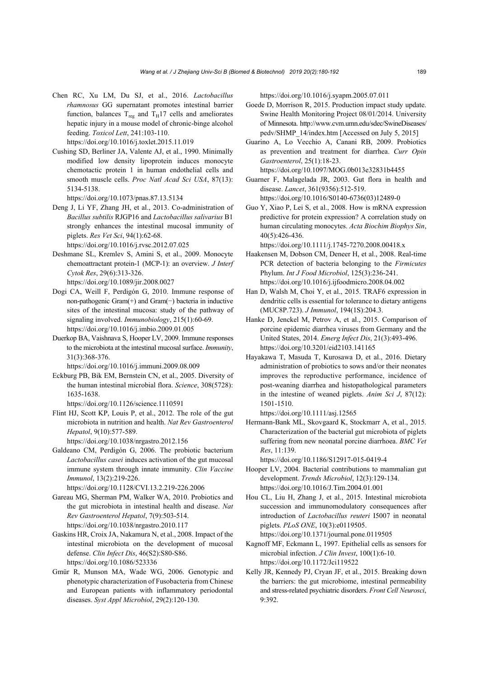- Chen RC, Xu LM, Du SJ, et al., 2016. *Lactobacillus rhamnosus* GG supernatant promotes intestinal barrier function, balances  $T_{reg}$  and  $T_H17$  cells and ameliorates hepatic injury in a mouse model of chronic-binge alcohol feeding. *Toxicol Lett*, 241:103-110. https://doi.org/10.1016/j.toxlet.2015.11.019
- Cushing SD, Berliner JA, Valente AJ, et al., 1990. Minimally modified low density lipoprotein induces monocyte chemotactic protein 1 in human endothelial cells and smooth muscle cells. *Proc Natl Acad Sci USA*, 87(13): 5134-5138.

https://doi.org/10.1073/pnas.87.13.5134

- Deng J, Li YF, Zhang JH, et al., 2013. Co-administration of *Bacillus subtilis* RJGP16 and *Lactobacillus salivarius* B1 strongly enhances the intestinal mucosal immunity of piglets. *Res Vet Sci*, 94(1):62-68.
- https://doi.org/10.1016/j.rvsc.2012.07.025 Deshmane SL, Kremlev S, Amini S, et al., 2009. Monocyte chemoattractant protein-1 (MCP-1): an overview. *J Interf Cytok Res*, 29(6):313-326.
	- https://doi.org/10.1089/jir.2008.0027
- Dogi CA, Weill F, Perdigón G, 2010. Immune response of non-pathogenic Gram(+) and Gram(−) bacteria in inductive sites of the intestinal mucosa: study of the pathway of signaling involved. *Immunobiology*, 215(1):60-69. https://doi.org/10.1016/j.imbio.2009.01.005
- Duerkop BA, Vaishnava S, Hooper LV, 2009. Immune responses to the microbiota at the intestinal mucosal surface. *Immunity*, 31(3):368-376.

https://doi.org/10.1016/j.immuni.2009.08.009

Eckburg PB, Bik EM, Bernstein CN, et al., 2005. Diversity of the human intestinal microbial flora. *Science*, 308(5728): 1635-1638.

https://doi.org/10.1126/science.1110591

Flint HJ, Scott KP, Louis P, et al., 2012. The role of the gut microbiota in nutrition and health. *Nat Rev Gastroenterol Hepatol*, 9(10):577-589.

https://doi.org/10.1038/nrgastro.2012.156

Galdeano CM, Perdigón G, 2006. The probiotic bacterium *Lactobacillus casei* induces activation of the gut mucosal immune system through innate immunity. *Clin Vaccine Immunol*, 13(2):219-226.

https://doi.org/10.1128/CVI.13.2.219-226.2006

- Gareau MG, Sherman PM, Walker WA, 2010. Probiotics and the gut microbiota in intestinal health and disease. *Nat Rev Gastroenterol Hepatol*, 7(9):503-514. https://doi.org/10.1038/nrgastro.2010.117
- Gaskins HR, Croix JA, Nakamura N, et al., 2008. Impact of the intestinal microbiota on the development of mucosal defense. *Clin Infect Dis*, 46(S2):S80-S86. https://doi.org/10.1086/523336
- Gmür R, Munson MA, Wade WG, 2006. Genotypic and phenotypic characterization of Fusobacteria from Chinese and European patients with inflammatory periodontal diseases. *Syst Appl Microbiol*, 29(2):120-130.

https://doi.org/10.1016/j.syapm.2005.07.011

- Goede D, Morrison R, 2015. Production impact study update. Swine Health Monitoring Project 08/01/2014. University of Minnesota. http://www.cvm.umn.edu/sdec/SwineDiseases/ pedv/SHMP\_14/index.htm [Accessed on July 5, 2015]
- Guarino A, Lo Vecchio A, Canani RB, 2009. Probiotics as prevention and treatment for diarrhea. *Curr Opin Gastroenterol*, 25(1):18-23. https://doi.org/10.1097/MOG.0b013e32831b4455
- Guarner F, Malagelada JR, 2003. Gut flora in health and disease. *Lancet*, 361(9356):512-519.

https://doi.org/10.1016/S0140-6736(03)12489-0

Guo Y, Xiao P, Lei S, et al., 2008. How is mRNA expression predictive for protein expression? A correlation study on human circulating monocytes. *Acta Biochim Biophys Sin*, 40(5):426-436.

https://doi.org/10.1111/j.1745-7270.2008.00418.x

- Haakensen M, Dobson CM, Deneer H, et al., 2008. Real-time PCR detection of bacteria belonging to the *Firmicutes*  Phylum. *Int J Food Microbiol*, 125(3):236-241. https://doi.org/10.1016/j.ijfoodmicro.2008.04.002
- Han D, Walsh M, Choi Y, et al., 2015. TRAF6 expression in dendritic cells is essential for tolerance to dietary antigens (MUC8P.723). *J Immunol*, 194(1S):204.3.
- Hanke D, Jenckel M, Petrov A, et al., 2015. Comparison of porcine epidemic diarrhea viruses from Germany and the United States, 2014. *Emerg Infect Dis*, 21(3):493-496. https://doi.org/10.3201/eid2103.141165
- Hayakawa T, Masuda T, Kurosawa D, et al., 2016. Dietary administration of probiotics to sows and/or their neonates improves the reproductive performance, incidence of post-weaning diarrhea and histopathological parameters in the intestine of weaned piglets. *Anim Sci J*, 87(12): 1501-1510.

https://doi.org/10.1111/asj.12565

Hermann-Bank ML, Skovgaard K, Stockmarr A, et al., 2015. Characterization of the bacterial gut microbiota of piglets suffering from new neonatal porcine diarrhoea. *BMC Vet Res*, 11:139.

https://doi.org/10.1186/S12917-015-0419-4

- Hooper LV, 2004. Bacterial contributions to mammalian gut development. *Trends Microbiol*, 12(3):129-134. https://doi.org/10.1016/J.Tim.2004.01.001
- Hou CL, Liu H, Zhang J, et al., 2015. Intestinal microbiota succession and immunomodulatory consequences after introduction of *Lactobacillus reuteri* I5007 in neonatal piglets. *PLoS ONE*, 10(3):e0119505. https://doi.org/10.1371/journal.pone.0119505
- Kagnoff MF, Eckmann L, 1997. Epithelial cells as sensors for microbial infection. *J Clin Invest*, 100(1):6-10. https://doi.org/10.1172/Jci119522
- Kelly JR, Kennedy PJ, Cryan JF, et al., 2015. Breaking down the barriers: the gut microbiome, intestinal permeability and stress-related psychiatric disorders. *Front Cell Neurosci*, 9:392.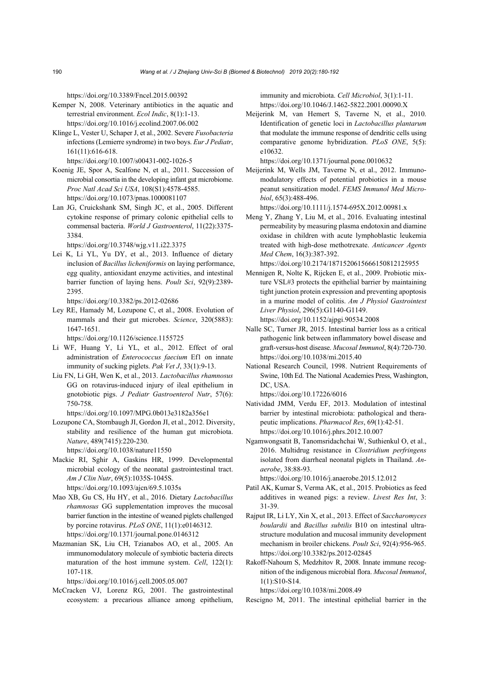https://doi.org/10.3389/Fncel.2015.00392

- Kemper N, 2008. Veterinary antibiotics in the aquatic and terrestrial environment. *Ecol Indic*, 8(1):1-13. https://doi.org/10.1016/j.ecolind.2007.06.002
- Klinge L, Vester U, Schaper J, et al., 2002. Severe *Fusobacteria* infections (Lemierre syndrome) in two boys. *Eur J Pediatr*, 161(11):616-618.

https://doi.org/10.1007/s00431-002-1026-5

- Koenig JE, Spor A, Scalfone N, et al., 2011. Succession of microbial consortia in the developing infant gut microbiome. *Proc Natl Acad Sci USA*, 108(S1):4578-4585. https://doi.org/10.1073/pnas.1000081107
- Lan JG, Cruickshank SM, Singh JC, et al., 2005. Different cytokine response of primary colonic epithelial cells to commensal bacteria. *World J Gastroenterol*, 11(22):3375- 3384.

https://doi.org/10.3748/wjg.v11.i22.3375

Lei K, Li YL, Yu DY, et al., 2013. Influence of dietary inclusion of *Bacillus licheniformis* on laying performance, egg quality, antioxidant enzyme activities, and intestinal barrier function of laying hens. *Poult Sci*, 92(9):2389- 2395.

https://doi.org/10.3382/ps.2012-02686

Ley RE, Hamady M, Lozupone C, et al., 2008. Evolution of mammals and their gut microbes. *Science*, 320(5883): 1647-1651.

https://doi.org/10.1126/science.1155725

- Li WF, Huang Y, Li YL, et al., 2012. Effect of oral administration of *Enterococcus faecium* Ef1 on innate immunity of sucking piglets. *Pak Vet J*, 33(1):9-13.
- Liu FN, Li GH, Wen K, et al., 2013. *Lactobacillus rhamnosus*  GG on rotavirus-induced injury of ileal epithelium in gnotobiotic pigs. *J Pediatr Gastroenterol Nutr*, 57(6): 750-758.
	- https://doi.org/10.1097/MPG.0b013e3182a356e1
- Lozupone CA, Stombaugh JI, Gordon JI, et al., 2012. Diversity, stability and resilience of the human gut microbiota. *Nature*, 489(7415):220-230. https://doi.org/10.1038/nature11550
- Mackie RI, Sghir A, Gaskins HR, 1999. Developmental microbial ecology of the neonatal gastrointestinal tract. *Am J Clin Nutr*, 69(5):1035S-1045S. https://doi.org/10.1093/ajcn/69.5.1035s
- Mao XB, Gu CS, Hu HY, et al., 2016. Dietary *Lactobacillus rhamnosus* GG supplementation improves the mucosal barrier function in the intestine of weaned piglets challenged by porcine rotavirus. *PLoS ONE*, 11(1):e0146312.
	- https://doi.org/10.1371/journal.pone.0146312
- Mazmanian SK, Liu CH, Tzianabos AO, et al., 2005. An immunomodulatory molecule of symbiotic bacteria directs maturation of the host immune system. *Cell*, 122(1): 107-118.

https://doi.org/10.1016/j.cell.2005.05.007

McCracken VJ, Lorenz RG, 2001. The gastrointestinal ecosystem: a precarious alliance among epithelium, immunity and microbiota. *Cell Microbiol*, 3(1):1-11. https://doi.org/10.1046/J.1462-5822.2001.00090.X

Meijerink M, van Hemert S, Taverne N, et al., 2010. Identification of genetic loci in *Lactobacillus plantarum* that modulate the immune response of dendritic cells using comparative genome hybridization. *PLoS ONE*, 5(5): e10632.

https://doi.org/10.1371/journal.pone.0010632

Meijerink M, Wells JM, Taverne N, et al., 2012. Immunomodulatory effects of potential probiotics in a mouse peanut sensitization model. *FEMS Immunol Med Microbiol*, 65(3):488-496.

https://doi.org/10.1111/j.1574-695X.2012.00981.x

Meng Y, Zhang Y, Liu M, et al., 2016. Evaluating intestinal permeability by measuring plasma endotoxin and diamine oxidase in children with acute lymphoblastic leukemia treated with high-dose methotrexate. *Anticancer Agents Med Chem*, 16(3):387-392.

https://doi.org/10.2174/1871520615666150812125955

Mennigen R, Nolte K, Rijcken E, et al., 2009. Probiotic mixture VSL#3 protects the epithelial barrier by maintaining tight junction protein expression and preventing apoptosis in a murine model of colitis. *Am J Physiol Gastrointest Liver Physiol*, 296(5):G1140-G1149.

https://doi.org/10.1152/ajpgi.90534.2008

- Nalle SC, Turner JR, 2015. Intestinal barrier loss as a critical pathogenic link between inflammatory bowel disease and graft-versus-host disease. *Mucosal Immunol*, 8(4):720-730. https://doi.org/10.1038/mi.2015.40
- National Research Council, 1998. Nutrient Requirements of Swine, 10th Ed. The National Academies Press, Washington, DC, USA.

https://doi.org/10.17226/6016

- Natividad JMM, Verdu EF, 2013. Modulation of intestinal barrier by intestinal microbiota: pathological and therapeutic implications. *Pharmacol Res*, 69(1):42-51. https://doi.org/10.1016/j.phrs.2012.10.007
- Ngamwongsatit B, Tanomsridachchai W, Suthienkul O, et al., 2016. Multidrug resistance in *Clostridium perfringens*  isolated from diarrheal neonatal piglets in Thailand. *Anaerobe*, 38:88-93.

https://doi.org/10.1016/j.anaerobe.2015.12.012

- Patil AK, Kumar S, Verma AK, et al., 2015. Probiotics as feed additives in weaned pigs: a review. *Livest Res Int*, 3: 31-39.
- Rajput IR, Li LY, Xin X, et al., 2013. Effect of *Saccharomyces boulardii* and *Bacillus subtilis* B10 on intestinal ultrastructure modulation and mucosal immunity development mechanism in broiler chickens. *Poult Sci*, 92(4):956-965. https://doi.org/10.3382/ps.2012-02845
- Rakoff-Nahoum S, Medzhitov R, 2008. Innate immune recognition of the indigenous microbial flora. *Mucosal Immunol*, 1(1):S10-S14.

https://doi.org/10.1038/mi.2008.49

Rescigno M, 2011. The intestinal epithelial barrier in the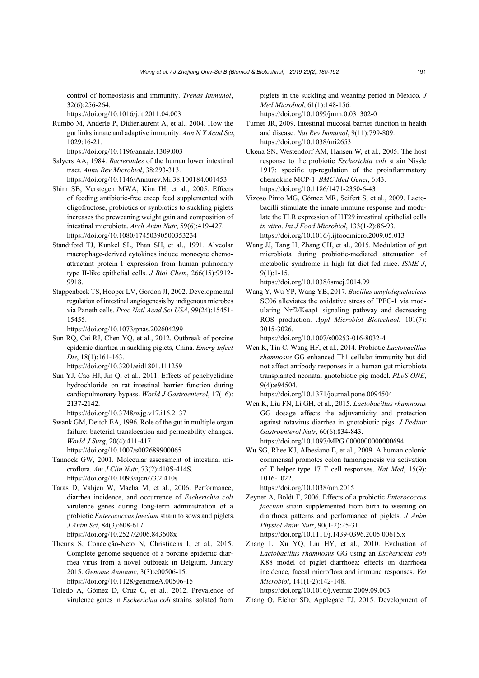control of homeostasis and immunity. *Trends Immunol*, 32(6):256-264.

https://doi.org/10.1016/j.it.2011.04.003

Rumbo M, Anderle P, Didierlaurent A, et al., 2004. How the gut links innate and adaptive immunity. *Ann N Y Acad Sci*, 1029:16-21.

https://doi.org/10.1196/annals.1309.003

- Salyers AA, 1984. *Bacteroides* of the human lower intestinal tract. *Annu Rev Microbiol*, 38:293-313. https://doi.org/10.1146/Annurev.Mi.38.100184.001453
- Shim SB, Verstegen MWA, Kim IH, et al., 2005. Effects of feeding antibiotic-free creep feed supplemented with oligofructose, probiotics or synbiotics to suckling piglets increases the preweaning weight gain and composition of intestinal microbiota. *Arch Anim Nutr*, 59(6):419-427. https://doi.org/10.1080/17450390500353234
- Standiford TJ, Kunkel SL, Phan SH, et al., 1991. Alveolar macrophage-derived cytokines induce monocyte chemoattractant protein-1 expression from human pulmonary type II-like epithelial cells. *J Biol Chem*, 266(15):9912- 9918.
- Stappenbeck TS, Hooper LV, Gordon JI, 2002. Developmental regulation of intestinal angiogenesis by indigenous microbes via Paneth cells. *Proc Natl Acad Sci USA*, 99(24):15451- 15455.

https://doi.org/10.1073/pnas.202604299

Sun RQ, Cai RJ, Chen YQ, et al., 2012. Outbreak of porcine epidemic diarrhea in suckling piglets, China. *Emerg Infect Dis*, 18(1):161-163. https://doi.org/10.3201/eid1801.111259

Sun YJ, Cao HJ, Jin Q, et al., 2011. Effects of penehyclidine hydrochloride on rat intestinal barrier function during cardiopulmonary bypass. *World J Gastroenterol*, 17(16): 2137-2142.

https://doi.org/10.3748/wjg.v17.i16.2137

Swank GM, Deitch EA, 1996. Role of the gut in multiple organ failure: bacterial translocation and permeability changes. *World J Surg*, 20(4):411-417.

https://doi.org/10.1007/s002689900065

Tannock GW, 2001. Molecular assessment of intestinal microflora. *Am J Clin Nutr*, 73(2):410S-414S. https://doi.org/10.1093/ajcn/73.2.410s

Taras D, Vahjen W, Macha M, et al., 2006. Performance, diarrhea incidence, and occurrence of *Escherichia coli*  virulence genes during long-term administration of a probiotic *Enterococcus faecium* strain to sows and piglets. *J Anim Sci*, 84(3):608-617.

https://doi.org/10.2527/2006.843608x

Theuns S, Conceição-Neto N, Christiaens I, et al., 2015. Complete genome sequence of a porcine epidemic diarrhea virus from a novel outbreak in Belgium, January 2015. *Genome Announc*, 3(3):e00506-15.

https://doi.org/10.1128/genomeA.00506-15

Toledo A, Gómez D, Cruz C, et al., 2012. Prevalence of virulence genes in *Escherichia coli* strains isolated from piglets in the suckling and weaning period in Mexico. *J Med Microbiol*, 61(1):148-156.

https://doi.org/10.1099/jmm.0.031302-0

- Turner JR, 2009. Intestinal mucosal barrier function in health and disease. *Nat Rev Immunol*, 9(11):799-809. https://doi.org/10.1038/nri2653
- Ukena SN, Westendorf AM, Hansen W, et al., 2005. The host response to the probiotic *Escherichia coli* strain Nissle 1917: specific up-regulation of the proinflammatory chemokine MCP-1. *BMC Med Genet*, 6:43. https://doi.org/10.1186/1471-2350-6-43
- Vizoso Pinto MG, Gómez MR, Seifert S, et al., 2009. Lactobacilli stimulate the innate immune response and modulate the TLR expression of HT29 intestinal epithelial cells *in vitro*. *Int J Food Microbiol*, 133(1-2):86-93. https://doi.org/10.1016/j.ijfoodmicro.2009.05.013
- Wang JJ, Tang H, Zhang CH, et al., 2015. Modulation of gut microbiota during probiotic-mediated attenuation of metabolic syndrome in high fat diet-fed mice. *ISME J*, 9(1):1-15.

https://doi.org/10.1038/ismej.2014.99

Wang Y, Wu YP, Wang YB, 2017. *Bacillus amyloliquefaciens* SC06 alleviates the oxidative stress of IPEC-1 via modulating Nrf2/Keap1 signaling pathway and decreasing ROS production. *Appl Microbiol Biotechnol*, 101(7): 3015-3026.

https://doi.org/10.1007/s00253-016-8032-4

Wen K, Tin C, Wang HF, et al., 2014. Probiotic *Lactobacillus rhamnosus* GG enhanced Th1 cellular immunity but did not affect antibody responses in a human gut microbiota transplanted neonatal gnotobiotic pig model. *PLoS ONE*, 9(4):e94504.

https://doi.org/10.1371/journal.pone.0094504

Wen K, Liu FN, Li GH, et al., 2015. *Lactobacillus rhamnosus* GG dosage affects the adjuvanticity and protection against rotavirus diarrhea in gnotobiotic pigs. *J Pediatr Gastroenterol Nutr*, 60(6):834-843.

https://doi.org/10.1097/MPG.0000000000000694

Wu SG, Rhee KJ, Albesiano E, et al., 2009. A human colonic commensal promotes colon tumorigenesis via activation of T helper type 17 T cell responses. *Nat Med*, 15(9): 1016-1022.

https://doi.org/10.1038/nm.2015

Zeyner A, Boldt E, 2006. Effects of a probiotic *Enterococcus faecium* strain supplemented from birth to weaning on diarrhoea patterns and performance of piglets. *J Anim Physiol Anim Nutr*, 90(1-2):25-31.

https://doi.org/10.1111/j.1439-0396.2005.00615.x

Zhang L, Xu YQ, Liu HY, et al., 2010. Evaluation of *Lactobacillus rhamnosus* GG using an *Escherichia coli*  K88 model of piglet diarrhoea: effects on diarrhoea incidence, faecal microflora and immune responses. *Vet Microbiol*, 141(1-2):142-148.

https://doi.org/10.1016/j.vetmic.2009.09.003

Zhang Q, Eicher SD, Applegate TJ, 2015. Development of